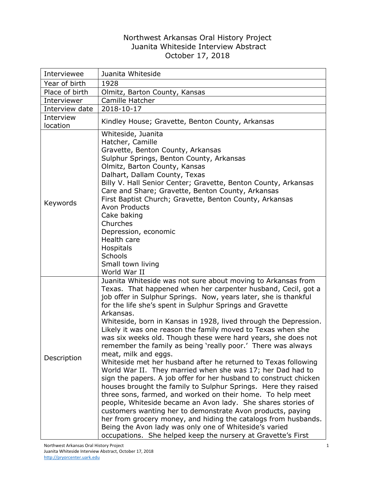## Northwest Arkansas Oral History Project Juanita Whiteside Interview Abstract October 17, 2018

| Interviewee           | Juanita Whiteside                                                                                                                                                                                                                                                                                                                                                                                                                                                                                                                                                                                                                                                                                                                                                                                                                                                                                                                                                                                                                                                                                                                                                                                                                    |
|-----------------------|--------------------------------------------------------------------------------------------------------------------------------------------------------------------------------------------------------------------------------------------------------------------------------------------------------------------------------------------------------------------------------------------------------------------------------------------------------------------------------------------------------------------------------------------------------------------------------------------------------------------------------------------------------------------------------------------------------------------------------------------------------------------------------------------------------------------------------------------------------------------------------------------------------------------------------------------------------------------------------------------------------------------------------------------------------------------------------------------------------------------------------------------------------------------------------------------------------------------------------------|
| Year of birth         | 1928                                                                                                                                                                                                                                                                                                                                                                                                                                                                                                                                                                                                                                                                                                                                                                                                                                                                                                                                                                                                                                                                                                                                                                                                                                 |
| Place of birth        | Olmitz, Barton County, Kansas                                                                                                                                                                                                                                                                                                                                                                                                                                                                                                                                                                                                                                                                                                                                                                                                                                                                                                                                                                                                                                                                                                                                                                                                        |
| Interviewer           | Camille Hatcher                                                                                                                                                                                                                                                                                                                                                                                                                                                                                                                                                                                                                                                                                                                                                                                                                                                                                                                                                                                                                                                                                                                                                                                                                      |
| Interview date        | 2018-10-17                                                                                                                                                                                                                                                                                                                                                                                                                                                                                                                                                                                                                                                                                                                                                                                                                                                                                                                                                                                                                                                                                                                                                                                                                           |
| Interview<br>location | Kindley House; Gravette, Benton County, Arkansas                                                                                                                                                                                                                                                                                                                                                                                                                                                                                                                                                                                                                                                                                                                                                                                                                                                                                                                                                                                                                                                                                                                                                                                     |
| Keywords              | Whiteside, Juanita<br>Hatcher, Camille<br>Gravette, Benton County, Arkansas<br>Sulphur Springs, Benton County, Arkansas<br>Olmitz, Barton County, Kansas<br>Dalhart, Dallam County, Texas<br>Billy V. Hall Senior Center; Gravette, Benton County, Arkansas<br>Care and Share; Gravette, Benton County, Arkansas<br>First Baptist Church; Gravette, Benton County, Arkansas<br><b>Avon Products</b><br>Cake baking<br>Churches<br>Depression, economic<br>Health care<br>Hospitals<br><b>Schools</b><br>Small town living<br>World War II                                                                                                                                                                                                                                                                                                                                                                                                                                                                                                                                                                                                                                                                                            |
| Description           | Juanita Whiteside was not sure about moving to Arkansas from<br>Texas. That happened when her carpenter husband, Cecil, got a<br>job offer in Sulphur Springs. Now, years later, she is thankful<br>for the life she's spent in Sulphur Springs and Gravette<br>Arkansas.<br>Whiteside, born in Kansas in 1928, lived through the Depression.<br>Likely it was one reason the family moved to Texas when she<br>was six weeks old. Though these were hard years, she does not<br>remember the family as being 'really poor.' There was always<br>meat, milk and eggs.<br>Whiteside met her husband after he returned to Texas following<br>World War II. They married when she was 17; her Dad had to<br>sign the papers. A job offer for her husband to construct chicken<br>houses brought the family to Sulphur Springs. Here they raised<br>three sons, farmed, and worked on their home. To help meet<br>people, Whiteside became an Avon lady. She shares stories of<br>customers wanting her to demonstrate Avon products, paying<br>her from grocery money, and hiding the catalogs from husbands.<br>Being the Avon lady was only one of Whiteside's varied<br>occupations. She helped keep the nursery at Gravette's First |